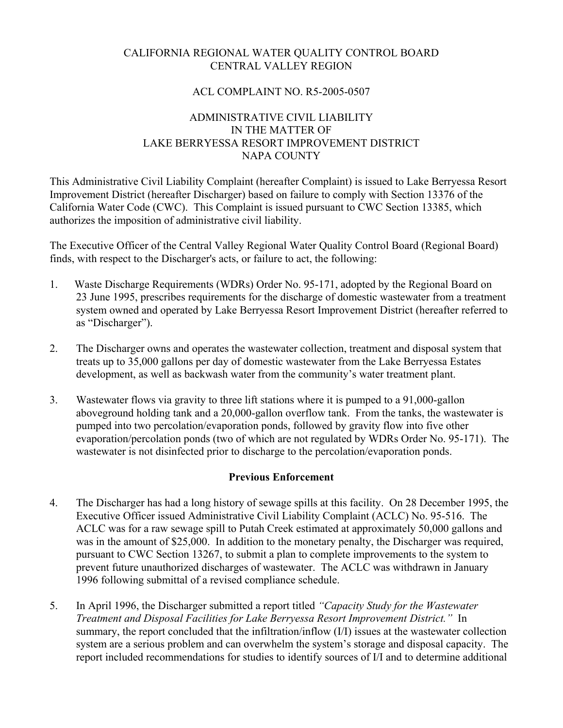# CALIFORNIA REGIONAL WATER QUALITY CONTROL BOARD CENTRAL VALLEY REGION

### ACL COMPLAINT NO. R5-2005-0507

# ADMINISTRATIVE CIVIL LIABILITY IN THE MATTER OF LAKE BERRYESSA RESORT IMPROVEMENT DISTRICT NAPA COUNTY

This Administrative Civil Liability Complaint (hereafter Complaint) is issued to Lake Berryessa Resort Improvement District (hereafter Discharger) based on failure to comply with Section 13376 of the California Water Code (CWC). This Complaint is issued pursuant to CWC Section 13385, which authorizes the imposition of administrative civil liability.

The Executive Officer of the Central Valley Regional Water Quality Control Board (Regional Board) finds, with respect to the Discharger's acts, or failure to act, the following:

- 1. Waste Discharge Requirements (WDRs) Order No. 95-171, adopted by the Regional Board on 23 June 1995, prescribes requirements for the discharge of domestic wastewater from a treatment system owned and operated by Lake Berryessa Resort Improvement District (hereafter referred to as "Discharger").
- 2. The Discharger owns and operates the wastewater collection, treatment and disposal system that treats up to 35,000 gallons per day of domestic wastewater from the Lake Berryessa Estates development, as well as backwash water from the community's water treatment plant.
- 3. Wastewater flows via gravity to three lift stations where it is pumped to a 91,000-gallon aboveground holding tank and a 20,000-gallon overflow tank. From the tanks, the wastewater is pumped into two percolation/evaporation ponds, followed by gravity flow into five other evaporation/percolation ponds (two of which are not regulated by WDRs Order No. 95-171). The wastewater is not disinfected prior to discharge to the percolation/evaporation ponds.

# **Previous Enforcement**

- 4. The Discharger has had a long history of sewage spills at this facility. On 28 December 1995, the Executive Officer issued Administrative Civil Liability Complaint (ACLC) No. 95-516. The ACLC was for a raw sewage spill to Putah Creek estimated at approximately 50,000 gallons and was in the amount of \$25,000. In addition to the monetary penalty, the Discharger was required, pursuant to CWC Section 13267, to submit a plan to complete improvements to the system to prevent future unauthorized discharges of wastewater. The ACLC was withdrawn in January 1996 following submittal of a revised compliance schedule.
- 5. In April 1996, the Discharger submitted a report titled *"Capacity Study for the Wastewater Treatment and Disposal Facilities for Lake Berryessa Resort Improvement District."* In summary, the report concluded that the infiltration/inflow (I/I) issues at the wastewater collection system are a serious problem and can overwhelm the system's storage and disposal capacity. The report included recommendations for studies to identify sources of I/I and to determine additional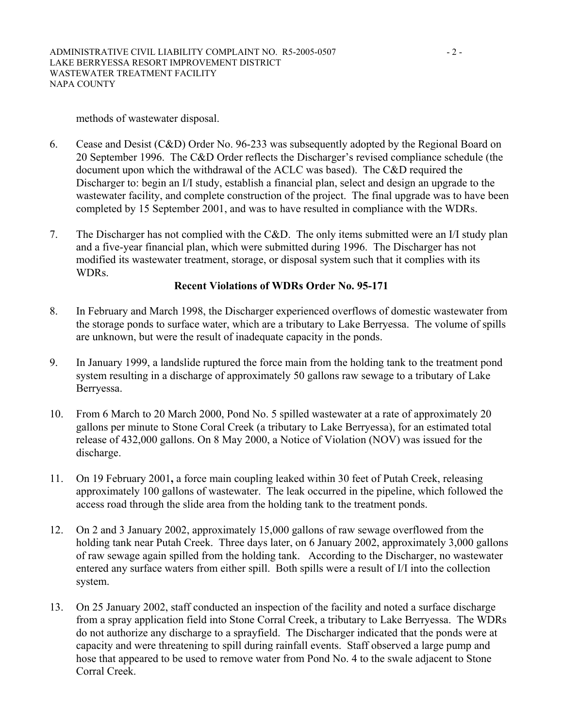#### methods of wastewater disposal.

- 6. Cease and Desist (C&D) Order No. 96-233 was subsequently adopted by the Regional Board on 20 September 1996. The C&D Order reflects the Discharger's revised compliance schedule (the document upon which the withdrawal of the ACLC was based). The C&D required the Discharger to: begin an I/I study, establish a financial plan, select and design an upgrade to the wastewater facility, and complete construction of the project. The final upgrade was to have been completed by 15 September 2001, and was to have resulted in compliance with the WDRs.
- 7. The Discharger has not complied with the C&D. The only items submitted were an I/I study plan and a five-year financial plan, which were submitted during 1996. The Discharger has not modified its wastewater treatment, storage, or disposal system such that it complies with its WDRs.

### **Recent Violations of WDRs Order No. 95-171**

- 8. In February and March 1998, the Discharger experienced overflows of domestic wastewater from the storage ponds to surface water, which are a tributary to Lake Berryessa. The volume of spills are unknown, but were the result of inadequate capacity in the ponds.
- 9. In January 1999, a landslide ruptured the force main from the holding tank to the treatment pond system resulting in a discharge of approximately 50 gallons raw sewage to a tributary of Lake Berryessa.
- 10. From 6 March to 20 March 2000, Pond No. 5 spilled wastewater at a rate of approximately 20 gallons per minute to Stone Coral Creek (a tributary to Lake Berryessa), for an estimated total release of 432,000 gallons. On 8 May 2000, a Notice of Violation (NOV) was issued for the discharge.
- 11. On 19 February 2001**,** a force main coupling leaked within 30 feet of Putah Creek, releasing approximately 100 gallons of wastewater. The leak occurred in the pipeline, which followed the access road through the slide area from the holding tank to the treatment ponds.
- 12. On 2 and 3 January 2002, approximately 15,000 gallons of raw sewage overflowed from the holding tank near Putah Creek. Three days later, on 6 January 2002, approximately 3,000 gallons of raw sewage again spilled from the holding tank. According to the Discharger, no wastewater entered any surface waters from either spill. Both spills were a result of I/I into the collection system.
- 13. On 25 January 2002, staff conducted an inspection of the facility and noted a surface discharge from a spray application field into Stone Corral Creek, a tributary to Lake Berryessa. The WDRs do not authorize any discharge to a sprayfield. The Discharger indicated that the ponds were at capacity and were threatening to spill during rainfall events. Staff observed a large pump and hose that appeared to be used to remove water from Pond No. 4 to the swale adjacent to Stone Corral Creek.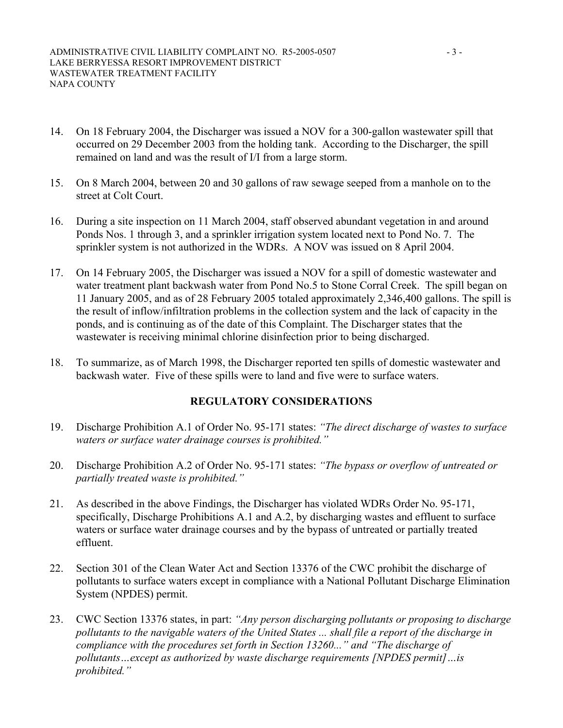- 14. On 18 February 2004, the Discharger was issued a NOV for a 300-gallon wastewater spill that occurred on 29 December 2003 from the holding tank. According to the Discharger, the spill remained on land and was the result of I/I from a large storm.
- 15. On 8 March 2004, between 20 and 30 gallons of raw sewage seeped from a manhole on to the street at Colt Court.
- 16. During a site inspection on 11 March 2004, staff observed abundant vegetation in and around Ponds Nos. 1 through 3, and a sprinkler irrigation system located next to Pond No. 7. The sprinkler system is not authorized in the WDRs. A NOV was issued on 8 April 2004.
- 17. On 14 February 2005, the Discharger was issued a NOV for a spill of domestic wastewater and water treatment plant backwash water from Pond No.5 to Stone Corral Creek. The spill began on 11 January 2005, and as of 28 February 2005 totaled approximately 2,346,400 gallons. The spill is the result of inflow/infiltration problems in the collection system and the lack of capacity in the ponds, and is continuing as of the date of this Complaint. The Discharger states that the wastewater is receiving minimal chlorine disinfection prior to being discharged.
- 18. To summarize, as of March 1998, the Discharger reported ten spills of domestic wastewater and backwash water. Five of these spills were to land and five were to surface waters.

# **REGULATORY CONSIDERATIONS**

- 19. Discharge Prohibition A.1 of Order No. 95-171 states: *"The direct discharge of wastes to surface waters or surface water drainage courses is prohibited."*
- 20. Discharge Prohibition A.2 of Order No. 95-171 states: *"The bypass or overflow of untreated or partially treated waste is prohibited."*
- 21. As described in the above Findings, the Discharger has violated WDRs Order No. 95-171, specifically, Discharge Prohibitions A.1 and A.2, by discharging wastes and effluent to surface waters or surface water drainage courses and by the bypass of untreated or partially treated effluent.
- 22. Section 301 of the Clean Water Act and Section 13376 of the CWC prohibit the discharge of pollutants to surface waters except in compliance with a National Pollutant Discharge Elimination System (NPDES) permit.
- 23. CWC Section 13376 states, in part: *"Any person discharging pollutants or proposing to discharge pollutants to the navigable waters of the United States ... shall file a report of the discharge in compliance with the procedures set forth in Section 13260..." and "The discharge of pollutants…except as authorized by waste discharge requirements [NPDES permit]…is prohibited."*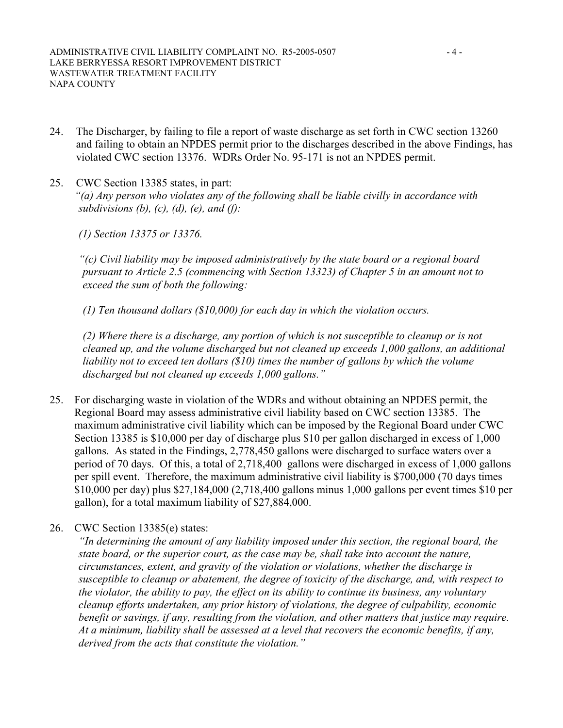- 24. The Discharger, by failing to file a report of waste discharge as set forth in CWC section 13260 and failing to obtain an NPDES permit prior to the discharges described in the above Findings, has violated CWC section 13376. WDRs Order No. 95-171 is not an NPDES permit.
- 25. CWC Section 13385 states, in part: *"(a) Any person who violates any of the following shall be liable civilly in accordance with subdivisions (b), (c), (d), (e), and (f):*

*(1) Section 13375 or 13376.* 

*"(c) Civil liability may be imposed administratively by the state board or a regional board pursuant to Article 2.5 (commencing with Section 13323) of Chapter 5 in an amount not to exceed the sum of both the following:* 

*(1) Ten thousand dollars (\$10,000) for each day in which the violation occurs.* 

*(2) Where there is a discharge, any portion of which is not susceptible to cleanup or is not cleaned up, and the volume discharged but not cleaned up exceeds 1,000 gallons, an additional*  liability not to exceed ten dollars (\$10) times the number of gallons by which the volume *discharged but not cleaned up exceeds 1,000 gallons."*

- 25. For discharging waste in violation of the WDRs and without obtaining an NPDES permit, the Regional Board may assess administrative civil liability based on CWC section 13385. The maximum administrative civil liability which can be imposed by the Regional Board under CWC Section 13385 is \$10,000 per day of discharge plus \$10 per gallon discharged in excess of 1,000 gallons. As stated in the Findings, 2,778,450 gallons were discharged to surface waters over a period of 70 days. Of this, a total of 2,718,400 gallons were discharged in excess of 1,000 gallons per spill event. Therefore, the maximum administrative civil liability is \$700,000 (70 days times \$10,000 per day) plus \$27,184,000 (2,718,400 gallons minus 1,000 gallons per event times \$10 per gallon), for a total maximum liability of \$27,884,000.
- 26. CWC Section 13385(e) states:

*"In determining the amount of any liability imposed under this section, the regional board, the state board, or the superior court, as the case may be, shall take into account the nature, circumstances, extent, and gravity of the violation or violations, whether the discharge is susceptible to cleanup or abatement, the degree of toxicity of the discharge, and, with respect to the violator, the ability to pay, the effect on its ability to continue its business, any voluntary cleanup efforts undertaken, any prior history of violations, the degree of culpability, economic benefit or savings, if any, resulting from the violation, and other matters that justice may require. At a minimum, liability shall be assessed at a level that recovers the economic benefits, if any, derived from the acts that constitute the violation."*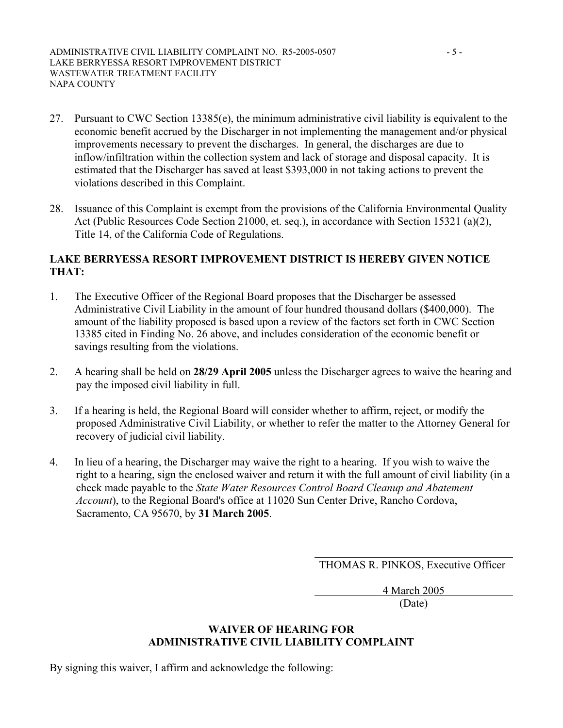- 27. Pursuant to CWC Section 13385(e), the minimum administrative civil liability is equivalent to the economic benefit accrued by the Discharger in not implementing the management and/or physical improvements necessary to prevent the discharges. In general, the discharges are due to inflow/infiltration within the collection system and lack of storage and disposal capacity. It is estimated that the Discharger has saved at least \$393,000 in not taking actions to prevent the violations described in this Complaint.
- 28. Issuance of this Complaint is exempt from the provisions of the California Environmental Quality Act (Public Resources Code Section 21000, et. seq.), in accordance with Section 15321 (a)(2), Title 14, of the California Code of Regulations.

### **LAKE BERRYESSA RESORT IMPROVEMENT DISTRICT IS HEREBY GIVEN NOTICE THAT:**

- 1. The Executive Officer of the Regional Board proposes that the Discharger be assessed Administrative Civil Liability in the amount of four hundred thousand dollars (\$400,000). The amount of the liability proposed is based upon a review of the factors set forth in CWC Section 13385 cited in Finding No. 26 above, and includes consideration of the economic benefit or savings resulting from the violations.
- 2. A hearing shall be held on **28/29 April 2005** unless the Discharger agrees to waive the hearing and pay the imposed civil liability in full.
- 3. If a hearing is held, the Regional Board will consider whether to affirm, reject, or modify the proposed Administrative Civil Liability, or whether to refer the matter to the Attorney General for recovery of judicial civil liability.
- 4. In lieu of a hearing, the Discharger may waive the right to a hearing. If you wish to waive the right to a hearing, sign the enclosed waiver and return it with the full amount of civil liability (in a check made payable to the *State Water Resources Control Board Cleanup and Abatement Account*), to the Regional Board's office at 11020 Sun Center Drive, Rancho Cordova, Sacramento, CA 95670, by **31 March 2005**.

THOMAS R. PINKOS, Executive Officer

4 March 2005

(Date)

### **WAIVER OF HEARING FOR ADMINISTRATIVE CIVIL LIABILITY COMPLAINT**

By signing this waiver, I affirm and acknowledge the following: